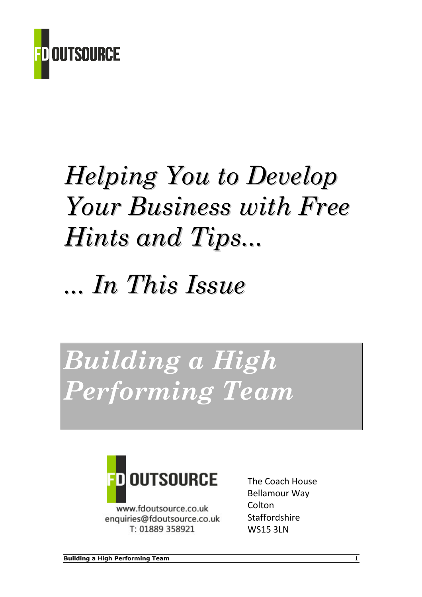

# Helping You to Develop Your Business with Free Hints and Tips...

# ... In This Issue

# Building a High Performing Team



www.fdoutsource.co.uk enquiries@fdoutsource.co.uk T: 01889 358921

The Coach House Bellamour Way Colton **Staffordshire** WS15 3LN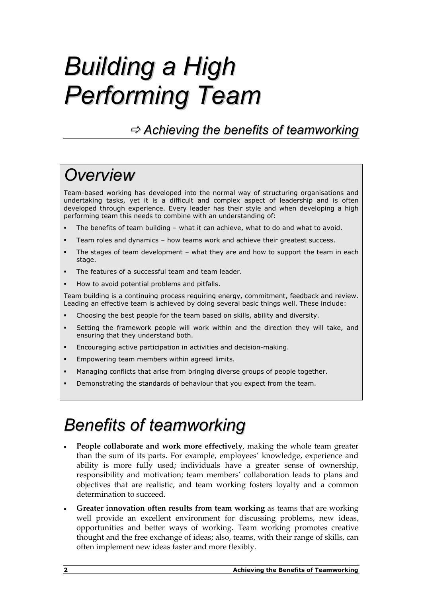# Building a High Performing Team

 $\Rightarrow$  Achieving the benefits of teamworking

## Overview

Team-based working has developed into the normal way of structuring organisations and undertaking tasks, yet it is a difficult and complex aspect of leadership and is often developed through experience. Every leader has their style and when developing a high performing team this needs to combine with an understanding of:

- -The benefits of team building – what it can achieve, what to do and what to avoid.
- -Team roles and dynamics – how teams work and achieve their greatest success.
- - The stages of team development – what they are and how to support the team in each stage.
- -The features of a successful team and team leader.
- -How to avoid potential problems and pitfalls.

Team building is a continuing process requiring energy, commitment, feedback and review. Leading an effective team is achieved by doing several basic things well. These include:

- -Choosing the best people for the team based on skills, ability and diversity.
- - Setting the framework people will work within and the direction they will take, and ensuring that they understand both.
- -Encouraging active participation in activities and decision-making.
- -Empowering team members within agreed limits.
- -Managing conflicts that arise from bringing diverse groups of people together.
- -Demonstrating the standards of behaviour that you expect from the team.

### Benefits of teamworking

- People collaborate and work more effectively, making the whole team greater than the sum of its parts. For example, employees' knowledge, experience and ability is more fully used; individuals have a greater sense of ownership, responsibility and motivation; team members' collaboration leads to plans and objectives that are realistic, and team working fosters loyalty and a common determination to succeed.
- Greater innovation often results from team working as teams that are working well provide an excellent environment for discussing problems, new ideas, opportunities and better ways of working. Team working promotes creative thought and the free exchange of ideas; also, teams, with their range of skills, can often implement new ideas faster and more flexibly.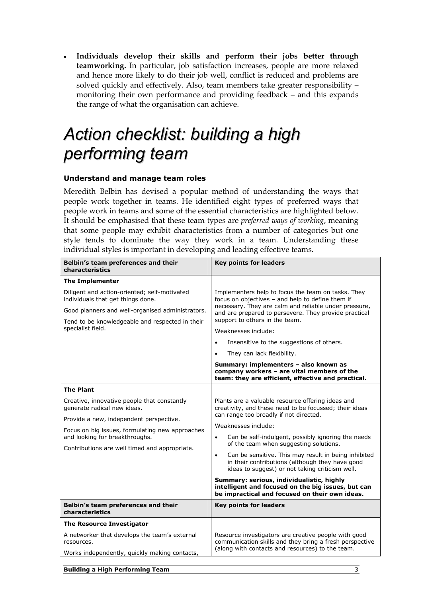• Individuals develop their skills and perform their jobs better through teamworking. In particular, job satisfaction increases, people are more relaxed and hence more likely to do their job well, conflict is reduced and problems are solved quickly and effectively. Also, team members take greater responsibility – monitoring their own performance and providing feedback – and this expands the range of what the organisation can achieve.

## Action checklist: building a high performing team

#### Understand and manage team roles

Meredith Belbin has devised a popular method of understanding the ways that people work together in teams. He identified eight types of preferred ways that people work in teams and some of the essential characteristics are highlighted below. It should be emphasised that these team types are preferred ways of working, meaning that some people may exhibit characteristics from a number of categories but one style tends to dominate the way they work in a team. Understanding these individual styles is important in developing and leading effective teams.

| Belbin's team preferences and their<br>characteristics                            | <b>Key points for leaders</b>                                                                                                                                                                                            |  |
|-----------------------------------------------------------------------------------|--------------------------------------------------------------------------------------------------------------------------------------------------------------------------------------------------------------------------|--|
| <b>The Implementer</b>                                                            |                                                                                                                                                                                                                          |  |
| Diligent and action-oriented; self-motivated<br>individuals that get things done. | Implementers help to focus the team on tasks. They<br>focus on objectives - and help to define them if<br>necessary. They are calm and reliable under pressure,<br>and are prepared to persevere. They provide practical |  |
| Good planners and well-organised administrators.                                  |                                                                                                                                                                                                                          |  |
| Tend to be knowledgeable and respected in their<br>specialist field.              | support to others in the team.<br>Weaknesses include:                                                                                                                                                                    |  |
|                                                                                   |                                                                                                                                                                                                                          |  |
|                                                                                   | Insensitive to the suggestions of others.<br>$\bullet$                                                                                                                                                                   |  |
|                                                                                   | They can lack flexibility.<br>$\bullet$                                                                                                                                                                                  |  |
|                                                                                   | Summary: implementers - also known as<br>company workers - are vital members of the<br>team: they are efficient, effective and practical.                                                                                |  |
| <b>The Plant</b>                                                                  |                                                                                                                                                                                                                          |  |
| Creative, innovative people that constantly<br>generate radical new ideas.        | Plants are a valuable resource offering ideas and<br>creativity, and these need to be focussed; their ideas<br>can range too broadly if not directed.                                                                    |  |
| Provide a new, independent perspective.                                           | Weaknesses include:                                                                                                                                                                                                      |  |
| Focus on big issues, formulating new approaches                                   |                                                                                                                                                                                                                          |  |
| and looking for breakthroughs.<br>Contributions are well timed and appropriate.   | Can be self-indulgent, possibly ignoring the needs<br>$\bullet$<br>of the team when suggesting solutions.                                                                                                                |  |
|                                                                                   | Can be sensitive. This may result in being inhibited<br>$\bullet$<br>in their contributions (although they have good<br>ideas to suggest) or not taking criticism well.                                                  |  |
|                                                                                   | Summary: serious, individualistic, highly<br>intelligent and focused on the big issues, but can<br>be impractical and focused on their own ideas.                                                                        |  |
| Belbin's team preferences and their<br>characteristics                            | <b>Key points for leaders</b>                                                                                                                                                                                            |  |
| <b>The Resource Investigator</b>                                                  |                                                                                                                                                                                                                          |  |
| A networker that develops the team's external<br>resources.                       | Resource investigators are creative people with good<br>communication skills and they bring a fresh perspective<br>(along with contacts and resources) to the team.                                                      |  |
| Works independently, quickly making contacts,                                     |                                                                                                                                                                                                                          |  |
|                                                                                   |                                                                                                                                                                                                                          |  |

Building a High Performing Team 3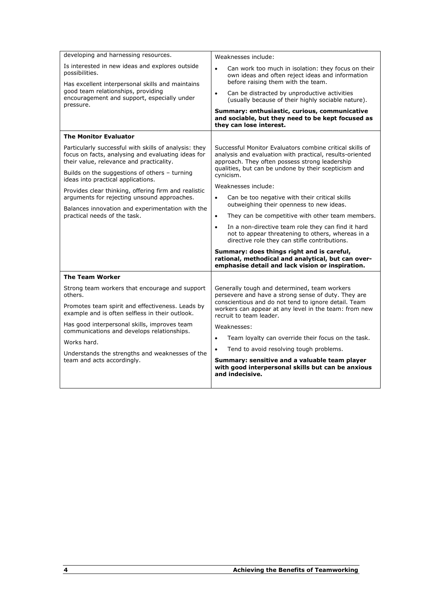| developing and harnessing resources.                                                                                                                                                                                    | Weaknesses include:                                                                                                                                                                                                                             |  |
|-------------------------------------------------------------------------------------------------------------------------------------------------------------------------------------------------------------------------|-------------------------------------------------------------------------------------------------------------------------------------------------------------------------------------------------------------------------------------------------|--|
| Is interested in new ideas and explores outside<br>possibilities.<br>Has excellent interpersonal skills and maintains<br>good team relationships, providing<br>encouragement and support, especially under<br>pressure. | $\bullet$<br>Can work too much in isolation: they focus on their<br>own ideas and often reject ideas and information<br>before raising them with the team.                                                                                      |  |
|                                                                                                                                                                                                                         | Can be distracted by unproductive activities<br>$\bullet$<br>(usually because of their highly sociable nature).                                                                                                                                 |  |
|                                                                                                                                                                                                                         | Summary: enthusiastic, curious, communicative<br>and sociable, but they need to be kept focused as<br>they can lose interest.                                                                                                                   |  |
| <b>The Monitor Evaluator</b>                                                                                                                                                                                            |                                                                                                                                                                                                                                                 |  |
| Particularly successful with skills of analysis: they<br>focus on facts, analysing and evaluating ideas for<br>their value, relevance and practicality.                                                                 | Successful Monitor Evaluators combine critical skills of<br>analysis and evaluation with practical, results-oriented<br>approach. They often possess strong leadership<br>qualities, but can be undone by their scepticism and<br>cynicism.     |  |
| Builds on the suggestions of others - turning<br>ideas into practical applications.                                                                                                                                     |                                                                                                                                                                                                                                                 |  |
| Provides clear thinking, offering firm and realistic<br>arguments for rejecting unsound approaches.                                                                                                                     | Weaknesses include:<br>$\bullet$<br>Can be too negative with their critical skills                                                                                                                                                              |  |
| Balances innovation and experimentation with the<br>practical needs of the task.                                                                                                                                        | outweighing their openness to new ideas.<br>They can be competitive with other team members.<br>$\bullet$                                                                                                                                       |  |
|                                                                                                                                                                                                                         | In a non-directive team role they can find it hard<br>$\bullet$<br>not to appear threatening to others, whereas in a<br>directive role they can stifle contributions.                                                                           |  |
|                                                                                                                                                                                                                         | Summary: does things right and is careful,<br>rational, methodical and analytical, but can over-<br>emphasise detail and lack vision or inspiration.                                                                                            |  |
| <b>The Team Worker</b>                                                                                                                                                                                                  |                                                                                                                                                                                                                                                 |  |
| Strong team workers that encourage and support<br>others.                                                                                                                                                               | Generally tough and determined, team workers<br>persevere and have a strong sense of duty. They are<br>conscientious and do not tend to ignore detail. Team<br>workers can appear at any level in the team: from new<br>recruit to team leader. |  |
| Promotes team spirit and effectiveness. Leads by<br>example and is often selfless in their outlook.                                                                                                                     |                                                                                                                                                                                                                                                 |  |
| Has good interpersonal skills, improves team<br>communications and develops relationships.                                                                                                                              | Weaknesses:                                                                                                                                                                                                                                     |  |
| Works hard.                                                                                                                                                                                                             | Team loyalty can override their focus on the task.<br>$\bullet$                                                                                                                                                                                 |  |
| Understands the strengths and weaknesses of the<br>team and acts accordingly.                                                                                                                                           | Tend to avoid resolving tough problems.<br>$\bullet$                                                                                                                                                                                            |  |
|                                                                                                                                                                                                                         | Summary: sensitive and a valuable team player<br>with good interpersonal skills but can be anxious<br>and indecisive.                                                                                                                           |  |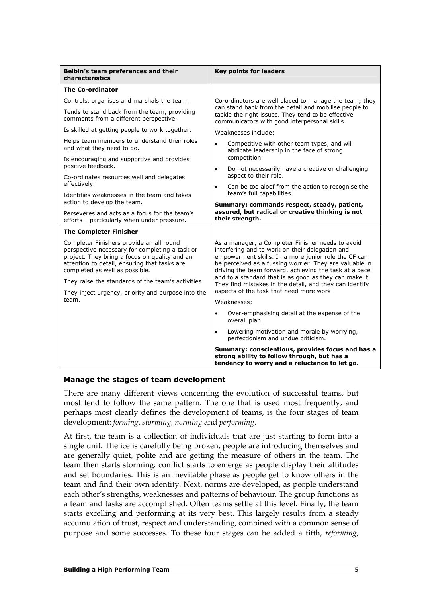| Belbin's team preferences and their<br>characteristics                                                                                                                                                                                                                              | <b>Key points for leaders</b>                                                                                                                                                                                                                                                                                                                                                                                                                                     |  |
|-------------------------------------------------------------------------------------------------------------------------------------------------------------------------------------------------------------------------------------------------------------------------------------|-------------------------------------------------------------------------------------------------------------------------------------------------------------------------------------------------------------------------------------------------------------------------------------------------------------------------------------------------------------------------------------------------------------------------------------------------------------------|--|
| <b>The Co-ordinator</b>                                                                                                                                                                                                                                                             |                                                                                                                                                                                                                                                                                                                                                                                                                                                                   |  |
| Controls, organises and marshals the team.                                                                                                                                                                                                                                          | Co-ordinators are well placed to manage the team; they                                                                                                                                                                                                                                                                                                                                                                                                            |  |
| Tends to stand back from the team, providing<br>comments from a different perspective.                                                                                                                                                                                              | can stand back from the detail and mobilise people to<br>tackle the right issues. They tend to be effective<br>communicators with good interpersonal skills.                                                                                                                                                                                                                                                                                                      |  |
| Is skilled at getting people to work together.                                                                                                                                                                                                                                      | Weaknesses include:                                                                                                                                                                                                                                                                                                                                                                                                                                               |  |
| Helps team members to understand their roles<br>and what they need to do.                                                                                                                                                                                                           | Competitive with other team types, and will<br>$\bullet$<br>abdicate leadership in the face of strong                                                                                                                                                                                                                                                                                                                                                             |  |
| Is encouraging and supportive and provides<br>positive feedback.                                                                                                                                                                                                                    | competition.<br>Do not necessarily have a creative or challenging<br>$\bullet$                                                                                                                                                                                                                                                                                                                                                                                    |  |
| Co-ordinates resources well and delegates                                                                                                                                                                                                                                           | aspect to their role.                                                                                                                                                                                                                                                                                                                                                                                                                                             |  |
| effectively.                                                                                                                                                                                                                                                                        | Can be too aloof from the action to recognise the<br>$\bullet$                                                                                                                                                                                                                                                                                                                                                                                                    |  |
| Identifies weaknesses in the team and takes<br>action to develop the team.                                                                                                                                                                                                          | team's full capabilities.                                                                                                                                                                                                                                                                                                                                                                                                                                         |  |
| Perseveres and acts as a focus for the team's<br>efforts - particularly when under pressure.                                                                                                                                                                                        | Summary: commands respect, steady, patient,<br>assured, but radical or creative thinking is not<br>their strength.                                                                                                                                                                                                                                                                                                                                                |  |
| <b>The Completer Finisher</b>                                                                                                                                                                                                                                                       |                                                                                                                                                                                                                                                                                                                                                                                                                                                                   |  |
| Completer Finishers provide an all round<br>perspective necessary for completing a task or<br>project. They bring a focus on quality and an<br>attention to detail, ensuring that tasks are<br>completed as well as possible.<br>They raise the standards of the team's activities. | As a manager, a Completer Finisher needs to avoid<br>interfering and to work on their delegation and<br>empowerment skills. In a more junior role the CF can<br>be perceived as a fussing worrier. They are valuable in<br>driving the team forward, achieving the task at a pace<br>and to a standard that is as good as they can make it.<br>They find mistakes in the detail, and they can identify<br>aspects of the task that need more work.<br>Weaknesses: |  |
| They inject urgency, priority and purpose into the<br>team.                                                                                                                                                                                                                         |                                                                                                                                                                                                                                                                                                                                                                                                                                                                   |  |
|                                                                                                                                                                                                                                                                                     | Over-emphasising detail at the expense of the<br>$\bullet$<br>overall plan.                                                                                                                                                                                                                                                                                                                                                                                       |  |
|                                                                                                                                                                                                                                                                                     | Lowering motivation and morale by worrying,<br>$\bullet$<br>perfectionism and undue criticism.                                                                                                                                                                                                                                                                                                                                                                    |  |
|                                                                                                                                                                                                                                                                                     | Summary: conscientious, provides focus and has a<br>strong ability to follow through, but has a<br>tendency to worry and a reluctance to let go.                                                                                                                                                                                                                                                                                                                  |  |

#### Manage the stages of team development

There are many different views concerning the evolution of successful teams, but most tend to follow the same pattern. The one that is used most frequently, and perhaps most clearly defines the development of teams, is the four stages of team development: forming, storming, norming and performing.

At first, the team is a collection of individuals that are just starting to form into a single unit. The ice is carefully being broken, people are introducing themselves and are generally quiet, polite and are getting the measure of others in the team. The team then starts storming: conflict starts to emerge as people display their attitudes and set boundaries. This is an inevitable phase as people get to know others in the team and find their own identity. Next, norms are developed, as people understand each other's strengths, weaknesses and patterns of behaviour. The group functions as a team and tasks are accomplished. Often teams settle at this level. Finally, the team starts excelling and performing at its very best. This largely results from a steady accumulation of trust, respect and understanding, combined with a common sense of purpose and some successes. To these four stages can be added a fifth, reforming,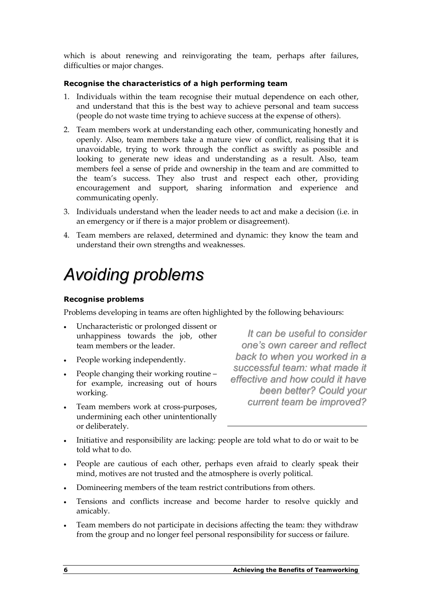which is about renewing and reinvigorating the team, perhaps after failures, difficulties or major changes.

#### Recognise the characteristics of a high performing team

- 1. Individuals within the team recognise their mutual dependence on each other, and understand that this is the best way to achieve personal and team success (people do not waste time trying to achieve success at the expense of others).
- 2. Team members work at understanding each other, communicating honestly and openly. Also, team members take a mature view of conflict, realising that it is unavoidable, trying to work through the conflict as swiftly as possible and looking to generate new ideas and understanding as a result. Also, team members feel a sense of pride and ownership in the team and are committed to the team's success. They also trust and respect each other, providing encouragement and support, sharing information and experience and communicating openly.
- 3. Individuals understand when the leader needs to act and make a decision (i.e. in an emergency or if there is a major problem or disagreement).
- 4. Team members are relaxed, determined and dynamic: they know the team and understand their own strengths and weaknesses.

## Avoiding problems

#### Recognise problems

Problems developing in teams are often highlighted by the following behaviours:

- Uncharacteristic or prolonged dissent or unhappiness towards the job, other team members or the leader.
- People working independently.
- People changing their working routine for example, increasing out of hours working.
- Team members work at cross-purposes, undermining each other unintentionally or deliberately.

It can be useful to consider one's own career and reflect back to when you worked in a successful team: what made it effective and how could it have been better? Could your current team be improved?

- Initiative and responsibility are lacking: people are told what to do or wait to be told what to do.
- People are cautious of each other, perhaps even afraid to clearly speak their mind, motives are not trusted and the atmosphere is overly political.
- Domineering members of the team restrict contributions from others.
- Tensions and conflicts increase and become harder to resolve quickly and amicably.
- Team members do not participate in decisions affecting the team: they withdraw from the group and no longer feel personal responsibility for success or failure.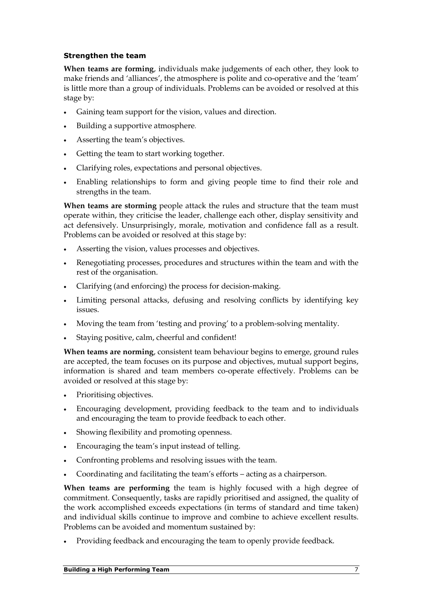#### Strengthen the team

When teams are forming, individuals make judgements of each other, they look to make friends and 'alliances', the atmosphere is polite and co-operative and the 'team' is little more than a group of individuals. Problems can be avoided or resolved at this stage by:

- Gaining team support for the vision, values and direction.
- Building a supportive atmosphere.
- Asserting the team's objectives.
- Getting the team to start working together.
- Clarifying roles, expectations and personal objectives.
- Enabling relationships to form and giving people time to find their role and strengths in the team.

When teams are storming people attack the rules and structure that the team must operate within, they criticise the leader, challenge each other, display sensitivity and act defensively. Unsurprisingly, morale, motivation and confidence fall as a result. Problems can be avoided or resolved at this stage by:

- Asserting the vision, values processes and objectives.
- Renegotiating processes, procedures and structures within the team and with the rest of the organisation.
- Clarifying (and enforcing) the process for decision-making.
- Limiting personal attacks, defusing and resolving conflicts by identifying key issues.
- Moving the team from 'testing and proving' to a problem-solving mentality.
- Staying positive, calm, cheerful and confident!

When teams are norming, consistent team behaviour begins to emerge, ground rules are accepted, the team focuses on its purpose and objectives, mutual support begins, information is shared and team members co-operate effectively. Problems can be avoided or resolved at this stage by:

- Prioritising objectives.
- Encouraging development, providing feedback to the team and to individuals and encouraging the team to provide feedback to each other.
- Showing flexibility and promoting openness.
- Encouraging the team's input instead of telling.
- Confronting problems and resolving issues with the team.
- Coordinating and facilitating the team's efforts acting as a chairperson.

When teams are performing the team is highly focused with a high degree of commitment. Consequently, tasks are rapidly prioritised and assigned, the quality of the work accomplished exceeds expectations (in terms of standard and time taken) and individual skills continue to improve and combine to achieve excellent results. Problems can be avoided and momentum sustained by:

• Providing feedback and encouraging the team to openly provide feedback.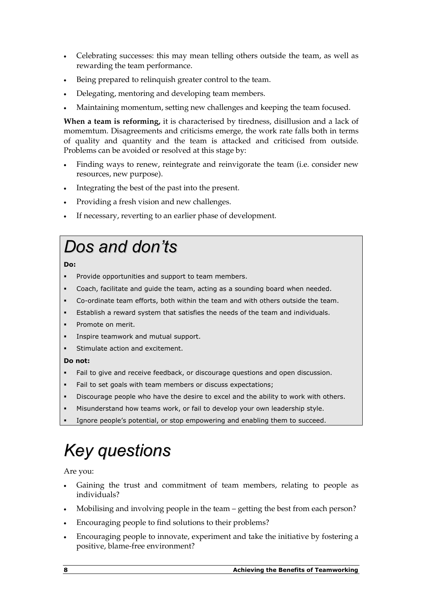- Celebrating successes: this may mean telling others outside the team, as well as rewarding the team performance.
- Being prepared to relinquish greater control to the team.
- Delegating, mentoring and developing team members.
- Maintaining momentum, setting new challenges and keeping the team focused.

When a team is reforming, it is characterised by tiredness, disillusion and a lack of momemtum. Disagreements and criticisms emerge, the work rate falls both in terms of quality and quantity and the team is attacked and criticised from outside. Problems can be avoided or resolved at this stage by:

- Finding ways to renew, reintegrate and reinvigorate the team (i.e. consider new resources, new purpose).
- Integrating the best of the past into the present.
- Providing a fresh vision and new challenges.
- If necessary, reverting to an earlier phase of development.

# Dos and don'ts

#### Do:

- -Provide opportunities and support to team members.
- -Coach, facilitate and guide the team, acting as a sounding board when needed.
- -Co-ordinate team efforts, both within the team and with others outside the team.
- -Establish a reward system that satisfies the needs of the team and individuals.
- -Promote on merit.
- -Inspire teamwork and mutual support.
- -Stimulate action and excitement.

#### Do not:

- -Fail to give and receive feedback, or discourage questions and open discussion.
- -Fail to set goals with team members or discuss expectations;
- -Discourage people who have the desire to excel and the ability to work with others.
- -Misunderstand how teams work, or fail to develop your own leadership style.
- -Ignore people's potential, or stop empowering and enabling them to succeed.

# Key questions

Are you:

- Gaining the trust and commitment of team members, relating to people as individuals?
- Mobilising and involving people in the team getting the best from each person?
- Encouraging people to find solutions to their problems?
- Encouraging people to innovate, experiment and take the initiative by fostering a positive, blame-free environment?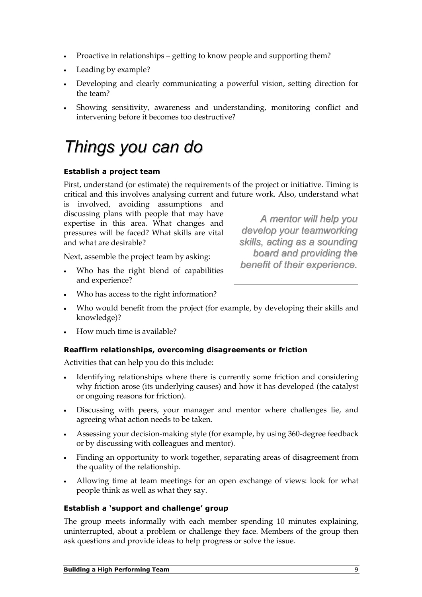- Proactive in relationships getting to know people and supporting them?
- Leading by example?
- Developing and clearly communicating a powerful vision, setting direction for the team?
- Showing sensitivity, awareness and understanding, monitoring conflict and intervening before it becomes too destructive?

### Things you can do

#### Establish a project team

First, understand (or estimate) the requirements of the project or initiative. Timing is critical and this involves analysing current and future work. Also, understand what

is involved, avoiding assumptions and discussing plans with people that may have expertise in this area. What changes and pressures will be faced? What skills are vital and what are desirable?

Next, assemble the project team by asking:

Who has the right blend of capabilities and experience?

A mentor will help you develop your teamworking skills, acting as a sounding board and providing the benefit of their experience.

- Who has access to the right information?
- Who would benefit from the project (for example, by developing their skills and knowledge)?
- How much time is available?

#### Reaffirm relationships, overcoming disagreements or friction

Activities that can help you do this include:

- Identifying relationships where there is currently some friction and considering why friction arose (its underlying causes) and how it has developed (the catalyst or ongoing reasons for friction).
- Discussing with peers, your manager and mentor where challenges lie, and agreeing what action needs to be taken.
- Assessing your decision-making style (for example, by using 360-degree feedback or by discussing with colleagues and mentor).
- Finding an opportunity to work together, separating areas of disagreement from the quality of the relationship.
- Allowing time at team meetings for an open exchange of views: look for what people think as well as what they say.

#### Establish a 'support and challenge' group

The group meets informally with each member spending 10 minutes explaining, uninterrupted, about a problem or challenge they face. Members of the group then ask questions and provide ideas to help progress or solve the issue.